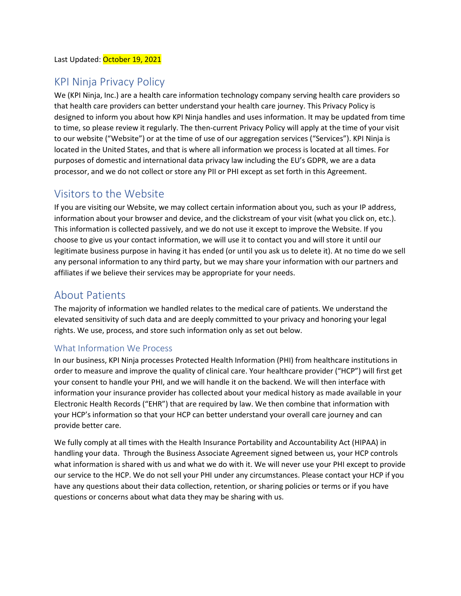## KPI Ninja Privacy Policy

We (KPI Ninja, Inc.) are a health care information technology company serving health care providers so that health care providers can better understand your health care journey. This Privacy Policy is designed to inform you about how KPI Ninja handles and uses information. It may be updated from time to time, so please review it regularly. The then-current Privacy Policy will apply at the time of your visit to our website ("Website") or at the time of use of our aggregation services ("Services"). KPI Ninja is located in the United States, and that is where all information we process is located at all times. For purposes of domestic and international data privacy law including the EU's GDPR, we are a data processor, and we do not collect or store any PII or PHI except as set forth in this Agreement.

# Visitors to the Website

If you are visiting our Website, we may collect certain information about you, such as your IP address, information about your browser and device, and the clickstream of your visit (what you click on, etc.). This information is collected passively, and we do not use it except to improve the Website. If you choose to give us your contact information, we will use it to contact you and will store it until our legitimate business purpose in having it has ended (or until you ask us to delete it). At no time do we sell any personal information to any third party, but we may share your information with our partners and affiliates if we believe their services may be appropriate for your needs.

## About Patients

The majority of information we handled relates to the medical care of patients. We understand the elevated sensitivity of such data and are deeply committed to your privacy and honoring your legal rights. We use, process, and store such information only as set out below.

#### What Information We Process

In our business, KPI Ninja processes Protected Health Information (PHI) from healthcare institutions in order to measure and improve the quality of clinical care. Your healthcare provider ("HCP") will first get your consent to handle your PHI, and we will handle it on the backend. We will then interface with information your insurance provider has collected about your medical history as made available in your Electronic Health Records ("EHR") that are required by law. We then combine that information with your HCP's information so that your HCP can better understand your overall care journey and can provide better care.

We fully comply at all times with the Health Insurance Portability and Accountability Act (HIPAA) in handling your data. Through the Business Associate Agreement signed between us, your HCP controls what information is shared with us and what we do with it. We will never use your PHI except to provide our service to the HCP. We do not sell your PHI under any circumstances. Please contact your HCP if you have any questions about their data collection, retention, or sharing policies or terms or if you have questions or concerns about what data they may be sharing with us.